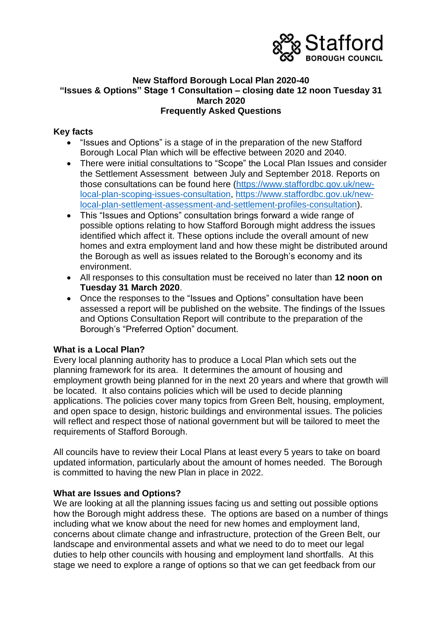

#### **New Stafford Borough Local Plan 2020-40 "Issues & Options" Stage 1 Consultation – closing date 12 noon Tuesday 31 March 2020 Frequently Asked Questions**

#### **Key facts**

- "Issues and Options" is a stage of in the preparation of the new Stafford Borough Local Plan which will be effective between 2020 and 2040.
- There were initial consultations to "Scope" the Local Plan Issues and consider the Settlement Assessment between July and September 2018. Reports on those consultations can be found here [\(https://www.staffordbc.gov.uk/new](https://www.staffordbc.gov.uk/new-local-plan-scoping-issues-consultation)[local-plan-scoping-issues-consultation,](https://www.staffordbc.gov.uk/new-local-plan-scoping-issues-consultation) [https://www.staffordbc.gov.uk/new](https://www.staffordbc.gov.uk/new-local-plan-settlement-assessment-and-settlement-profiles-consultation)[local-plan-settlement-assessment-and-settlement-profiles-consultation\)](https://www.staffordbc.gov.uk/new-local-plan-settlement-assessment-and-settlement-profiles-consultation).
- This "Issues and Options" consultation brings forward a wide range of possible options relating to how Stafford Borough might address the issues identified which affect it. These options include the overall amount of new homes and extra employment land and how these might be distributed around the Borough as well as issues related to the Borough's economy and its environment.
- All responses to this consultation must be received no later than **12 noon on Tuesday 31 March 2020**.
- Once the responses to the "Issues and Options" consultation have been assessed a report will be published on the website. The findings of the Issues and Options Consultation Report will contribute to the preparation of the Borough's "Preferred Option" document.

## **What is a Local Plan?**

Every local planning authority has to produce a Local Plan which sets out the planning framework for its area. It determines the amount of housing and employment growth being planned for in the next 20 years and where that growth will be located. It also contains policies which will be used to decide planning applications. The policies cover many topics from Green Belt, housing, employment, and open space to design, historic buildings and environmental issues. The policies will reflect and respect those of national government but will be tailored to meet the requirements of Stafford Borough.

All councils have to review their Local Plans at least every 5 years to take on board updated information, particularly about the amount of homes needed. The Borough is committed to having the new Plan in place in 2022.

#### **What are Issues and Options?**

We are looking at all the planning issues facing us and setting out possible options how the Borough might address these. The options are based on a number of things including what we know about the need for new homes and employment land, concerns about climate change and infrastructure, protection of the Green Belt, our landscape and environmental assets and what we need to do to meet our legal duties to help other councils with housing and employment land shortfalls. At this stage we need to explore a range of options so that we can get feedback from our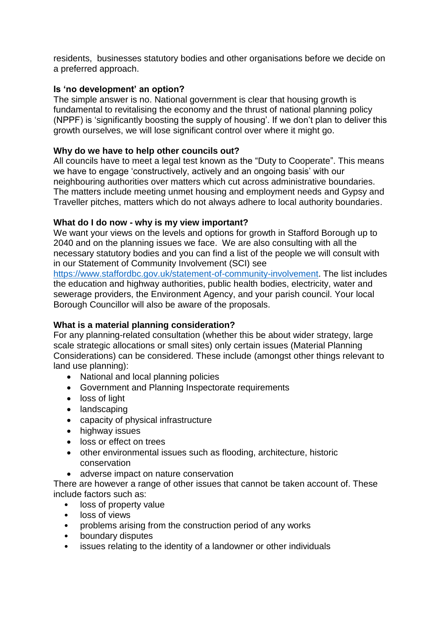residents, businesses statutory bodies and other organisations before we decide on a preferred approach.

# **Is 'no development' an option?**

The simple answer is no. National government is clear that housing growth is fundamental to revitalising the economy and the thrust of national planning policy (NPPF) is 'significantly boosting the supply of housing'. If we don't plan to deliver this growth ourselves, we will lose significant control over where it might go.

# **Why do we have to help other councils out?**

All councils have to meet a legal test known as the "Duty to Cooperate". This means we have to engage 'constructively, actively and an ongoing basis' with our neighbouring authorities over matters which cut across administrative boundaries. The matters include meeting unmet housing and employment needs and Gypsy and Traveller pitches, matters which do not always adhere to local authority boundaries.

# **What do I do now - why is my view important?**

We want your views on the levels and options for growth in Stafford Borough up to 2040 and on the planning issues we face. We are also consulting with all the necessary statutory bodies and you can find a list of the people we will consult with in our Statement of Community Involvement (SCI) see

[https://www.staffordbc.gov.uk/statement-of-community-involvement.](https://www.staffordbc.gov.uk/statement-of-community-involvement) The list includes the education and highway authorities, public health bodies, electricity, water and sewerage providers, the Environment Agency, and your parish council. Your local Borough Councillor will also be aware of the proposals.

## **What is a material planning consideration?**

For any planning-related consultation (whether this be about wider strategy, large scale strategic allocations or small sites) only certain issues (Material Planning Considerations) can be considered. These include (amongst other things relevant to land use planning):

- National and local planning policies
- Government and Planning Inspectorate requirements
- loss of light
- landscaping
- capacity of physical infrastructure
- highway issues
- loss or effect on trees
- other environmental issues such as flooding, architecture, historic conservation
- adverse impact on nature conservation

There are however a range of other issues that cannot be taken account of. These include factors such as:

- loss of property value
- loss of views
- problems arising from the construction period of any works
- boundary disputes
- issues relating to the identity of a landowner or other individuals